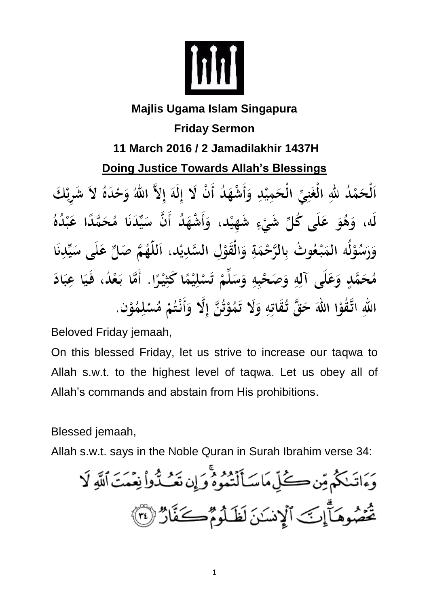

## **Majlis Ugama Islam Singapura Friday Sermon 11 March 2016 / 2 Jamadilakhir 1437H Doing Justice Towards Allah's Blessings** ٱلْحَمْدُ للَّهِ الْغَنِيِّ الْحَمِيْدِ وَأَشْهَدُ أَنْ لَا إِلَهَ إِلاَّ اللَّهُ وَحْدَهُ لاَ شَرِيْكَ لَه، وَهُوَ عَلَى كُلِّ شَيْءٍ شَهِيْد، وَأَشْهَدُ أَنَّ سَيِّدَنَا مُحَمَّدًا عَبْدُهُ وَرَسُوْلُه المَبْعُوتُ بِالرَّحْمَةِ وَالْقَوْلِ السَّدِيْدِ، اَللَّهُمَّ صَلِّ عَلَى سَيِّدِنَا مُحَمَّدٍ وَعَلَى آلِهِ وَصَحْبِهِ وَسَلِّمْ تَسْلِيْمًا كَثِيْرًا. أَمَّا بَعْدُ، فَيَا عِبَادَ اللهِ اتَّقُوْا اللهَ حَقَّ تُقَاتِهِ وَلَا تَمُوْتُنَّ إِلَّا وَأَنْتُمْ مُسْلِمُوْنٍ.

Beloved Friday jemaah,

On this blessed Friday, let us strive to increase our taqwa to Allah s.w.t. to the highest level of taqwa. Let us obey all of Allah's commands and abstain from His prohibitions.

Blessed jemaah,

Allah s.w.t. says in the Noble Quran in Surah Ibrahim verse 34: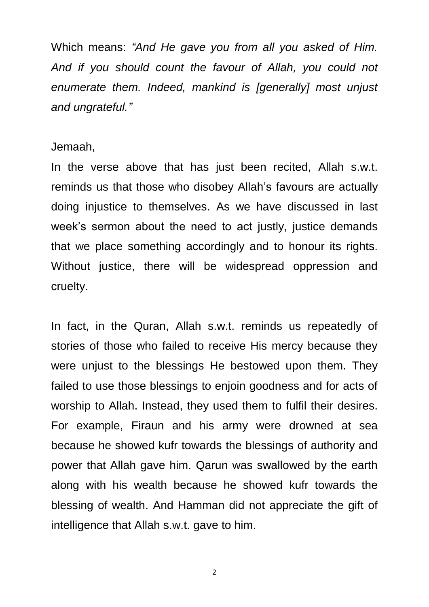Which means: *"And He gave you from all you asked of Him. And if you should count the favour of Allah, you could not enumerate them. Indeed, mankind is [generally] most unjust and ungrateful."*

## Jemaah,

In the verse above that has just been recited, Allah s.w.t. reminds us that those who disobey Allah's favours are actually doing injustice to themselves. As we have discussed in last week's sermon about the need to act justly, justice demands that we place something accordingly and to honour its rights. Without justice, there will be widespread oppression and cruelty.

In fact, in the Quran, Allah s.w.t. reminds us repeatedly of stories of those who failed to receive His mercy because they were unjust to the blessings He bestowed upon them. They failed to use those blessings to enjoin goodness and for acts of worship to Allah. Instead, they used them to fulfil their desires. For example, Firaun and his army were drowned at sea because he showed kufr towards the blessings of authority and power that Allah gave him. Qarun was swallowed by the earth along with his wealth because he showed kufr towards the blessing of wealth. And Hamman did not appreciate the gift of intelligence that Allah s.w.t. gave to him.

2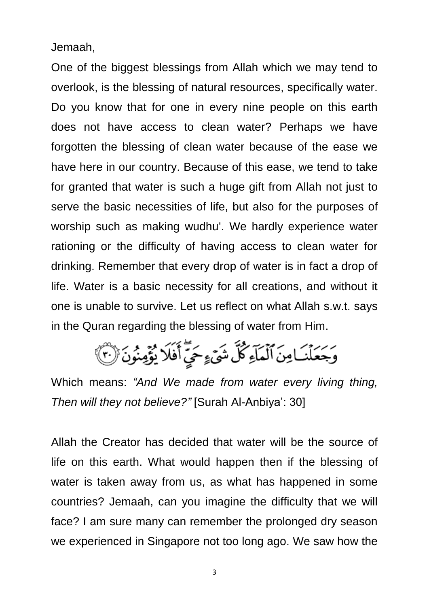Jemaah,

One of the biggest blessings from Allah which we may tend to overlook, is the blessing of natural resources, specifically water. Do you know that for one in every nine people on this earth does not have access to clean water? Perhaps we have forgotten the blessing of clean water because of the ease we have here in our country. Because of this ease, we tend to take for granted that water is such a huge gift from Allah not just to serve the basic necessities of life, but also for the purposes of worship such as making wudhu'. We hardly experience water rationing or the difficulty of having access to clean water for drinking. Remember that every drop of water is in fact a drop of life. Water is a basic necessity for all creations, and without it one is unable to survive. Let us reflect on what Allah s.w.t. says in the Quran regarding the blessing of water from Him.

وَجَعَلْنَامِنَ ٱلْمَاءِكُلِّ شَيْءٍ حَيِّ أَفَلَا يُؤْمِنُونَ (٣)

Which means: *"And We made from water every living thing, Then will they not believe?"* [Surah Al-Anbiya': 30]

Allah the Creator has decided that water will be the source of life on this earth. What would happen then if the blessing of water is taken away from us, as what has happened in some countries? Jemaah, can you imagine the difficulty that we will face? I am sure many can remember the prolonged dry season we experienced in Singapore not too long ago. We saw how the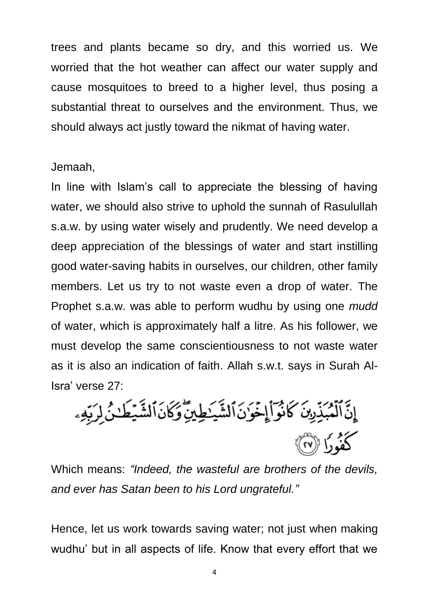trees and plants became so dry, and this worried us. We worried that the hot weather can affect our water supply and cause mosquitoes to breed to a higher level, thus posing a substantial threat to ourselves and the environment. Thus, we should always act justly toward the nikmat of having water.

## Jemaah,

In line with Islam's call to appreciate the blessing of having water, we should also strive to uphold the sunnah of Rasulullah s.a.w. by using water wisely and prudently. We need develop a deep appreciation of the blessings of water and start instilling good water-saving habits in ourselves, our children, other family members. Let us try to not waste even a drop of water. The Prophet s.a.w. was able to perform wudhu by using one *mudd* of water, which is approximately half a litre. As his follower, we must develop the same conscientiousness to not waste water as it is also an indication of faith. Allah s.w.t. says in Surah Al-Isra' verse 27:

إِنَّ ٱلۡمُبَذِّرِينَ كَانُوَاَ۟إِخُوَٰنَ ٱلشَّيَـٰطِينِّ وَكَانَ ٱلشَّيۡطَـٰنُ لِرَبِّهِۦ كَفُّودًا ((٢٧)

Which means: *"Indeed, the wasteful are brothers of the devils, and ever has Satan been to his Lord ungrateful."*

Hence, let us work towards saving water; not just when making wudhu' but in all aspects of life. Know that every effort that we